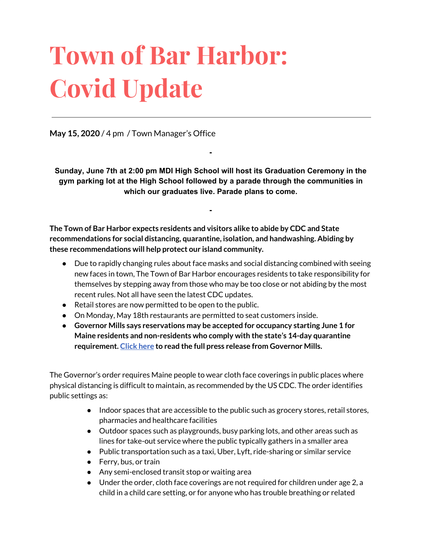# **Town of Bar Harbor: Covid Update**

**May 15, 2020** / 4 pm / Town Manager's Office

**Sunday, June 7th at 2:00 pm MDI High School will host its Graduation Ceremony in the gym parking lot at the High School followed by a parade through the communities in which our graduates live. Parade plans to come.**

**-**

**-**

**The Town of Bar Harbor expects residents and visitors alike to abide by CDC and State recommendations for social distancing, quarantine, isolation, and handwashing. Abiding by these recommendations will help protect our island community.**

- Due to rapidly changing rules about face masks and social distancing combined with seeing new faces in town, The Town of Bar Harbor encourages residents to take responsibility for themselves by stepping away from those who may be too close or not abiding by the most recent rules. Not all have seen the latest CDC updates.
- Retail stores are now permitted to be open to the public.
- On Monday, May 18th restaurants are permitted to seat customers inside.
- **● Governor Mills says reservations may be accepted for occupancy starting June 1 for Maine residents and non-residents who comply with the state's 14-day quarantine requirement. [Click](http://r20.rs6.net/tn.jsp?f=001gB9til_fx4w7nvjzESddOn4bZaqAGzdDyIEy097v0dBYqPQcdjRepSlWubnJiliWykVd8xltfaA07f9BQ6xv5ifOwJVlNMXhjETcC-rke9jDV4OkMTtHnjkRzx1qc1AuS23XwQ2XTinmFkEoRoJ4qqRZHASbTSwRwdj0F88dSeiCghSWPbPvRFWxMyVeQs3dcKQXA0O4Mh0OQTvhtXLneM1Lbxix6PjG3slQwKnkde1Du4XlY5qtouwLDMZDoF_dUQbNhztc6P7heDo42stjIA==&c=GV80uf24ip3gZvQKEozeMbyQn8nDH-DzBYaQB2SENXvHxqb8iwEK5w==&ch=C1320ou85N1eVcHVOSrS_YuBBpfyW3yMIv_-oxqFYkPp04VLTtwgVw==) here to read the full press release from Governor Mills.**

The Governor's order requires Maine people to wear cloth face coverings in public places where physical distancing is difficult to maintain, as recommended by the US CDC. The order identifies public settings as:

- Indoor spaces that are accessible to the public such as grocery stores, retail stores, pharmacies and healthcare facilities
- Outdoor spaces such as playgrounds, busy parking lots, and other areas such as lines for take-out service where the public typically gathers in a smaller area
- Public transportation such as a taxi, Uber, Lyft, ride-sharing or similar service
- Ferry, bus, or train
- Any semi-enclosed transit stop or waiting area
- Under the order, cloth face coverings are not required for children under age 2, a child in a child care setting, or for anyone who has trouble breathing or related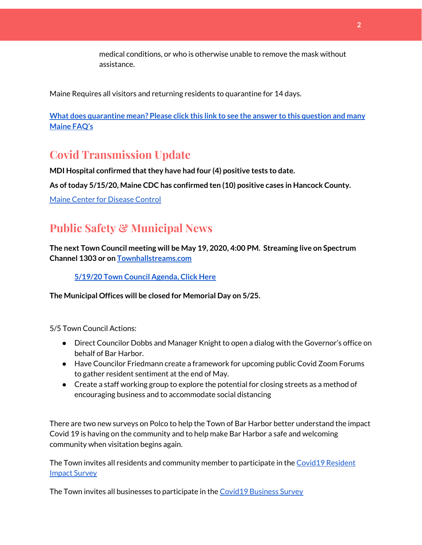medical conditions, or who is otherwise unable to remove the mask without assistance.

Maine Requires all visitors and returning residents to quarantine for 14 days.

**What does [quarantine](https://www.maine.gov/dhhs/mecdc/infectious-disease/epi/airborne/coronavirus.shtml#faq) mean? Please click this link to see the answer to this question and many [Maine](https://www.maine.gov/dhhs/mecdc/infectious-disease/epi/airborne/coronavirus.shtml#faq) FAQ's**

# **Covid Transmission Update**

**MDI Hospital confirmed thatthey have had four (4) positive tests to date.**

**As oftoday 5/15/20, Maine CDC has confirmed ten (10) positive cases in Hancock County.**

Maine Center for [Disease](https://www.maine.gov/dhhs/mecdc/infectious-disease/epi/airborne/coronavirus.shtml) Control

# **Public Safety & Municipal News**

**The next Town Council meeting will be May 19, 2020, 4:00 PM. Streaming live on Spectrum Channel 1303 or on [Townhallstreams.com](http://townhallstreams.com/)**

#### **[5/19/20](http://www.barharbormaine.gov/126/Town-Council) Town Council Agenda, Click Here**

**The Municipal Offices will be closed for Memorial Day on 5/25.**

5/5 Town Council Actions:

- Direct Councilor Dobbs and Manager Knight to open a dialog with the Governor's office on behalf of Bar Harbor.
- Have Councilor Friedmann create a framework for upcoming public Covid Zoom Forums to gather resident sentiment at the end of May.
- Create a staff working group to explore the potential for closing streets as a method of encouraging business and to accommodate social distancing

There are two new surveys on Polco to help the Town of Bar Harbor better understand the impact Covid 19 is having on the community and to help make Bar Harbor a safe and welcoming community when visitation begins again.

The Town invites all residents and community member to participate in th[e](https://polco.us/surveys/90178e75-6be4-45c6-819c-07052b97ab32?iid=9dedcb78-dd36-40ed-a81b-a88709e391cc) Covid19 [Resident](https://polco.us/surveys/90178e75-6be4-45c6-819c-07052b97ab32?iid=9dedcb78-dd36-40ed-a81b-a88709e391cc) Impact [Survey](https://polco.us/surveys/90178e75-6be4-45c6-819c-07052b97ab32?iid=9dedcb78-dd36-40ed-a81b-a88709e391cc)

The Town invites all businesses to participate in the Covid19 [Business](https://polco.us/surveys/96ab7f5d-a644-42b5-965d-f4a3d11c6ea7?iid=9dedcb78-dd36-40ed-a81b-a88709e391cc) Survey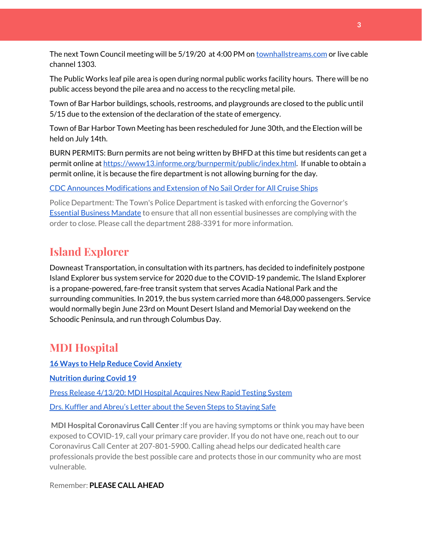The next Town Council meeting will be 5/19/20 at 4:00 PM on [townhallstreams.com](http://townhallstreams.com/) or live cable channel 1303.

The Public Works leaf pile area is open during normal public works facility hours. There will be no public access beyond the pile area and no access to the recycling metal pile.

Town of Bar Harbor buildings, schools, restrooms, and playgrounds are closed to the public until 5/15 due to the extension of the declaration of the state of emergency.

Town of Bar Harbor Town Meeting has been rescheduled for June 30th, and the Election will be held on July 14th.

BURN PERMITS: Burn permits are not being written by BHFD at this time but residents can get a permit online at [https://www13.informe.org/burnpermit/public/index.html.](https://www13.informe.org/burnpermit/public/index.html) If unable to obtain a permit online, it is because the fire department is not allowing burning for the day.

CDC Announces [Modifications](https://www.cdc.gov/media/releases/2020/s0409-modifications-extension-no-sail-ships.html) and Extension of No Sail Order for All Cruise Ships

Police Department: The Town's Police Department is tasked with enforcing the Governor's Essential Business [Mandate](https://www.maine.gov/governor/mills/sites/maine.gov.governor.mills/files/inline-files/An%20Order%20Regarding%20Essential%20Businesses%20and%20Operations%20.pdf) to ensure that all non essential businesses are complying with the order to close. Please call the department 288-3391 for more information.

# **Island Explorer**

Downeast Transportation, in consultation with its partners, has decided to indefinitely postpone Island Explorer bus system service for 2020 due to the COVID-19 pandemic. The Island Explorer is a propane-powered, fare-free transit system that serves Acadia National Park and the surrounding communities. In 2019, the bus system carried more than 648,000 passengers. Service would normally begin June 23rd on Mount Desert Island and Memorial Day weekend on the Schoodic Peninsula, and run through Columbus Day.

## **MDI Hospital**

**16 Ways to Help Reduce Covid [Anxiety](https://www.mdihospital.org/news/16-ways-to-help-reduce-covid-19-anxiety/)**

**[Nutrition](https://www.mdihospital.org/news/16-ways-to-help-reduce-covid-19-anxiety/) during Covid 19**

Press Release [4/13/20:](https://www.mdihospital.org/news/mount-desert-island-hospital-acquires-cepheid-genexpert-rapid-point-of-care-testing-system-for-the-new-coronavirus-and-many-other-infectious-diseases/) MDI Hospital Acquires New Rapid Testing System

Drs. Kuffler and [Abreu's](https://www.mdislander.com/opinions/commentary-seven-steps-to-staying-safe) Letter about the Seven Steps to Staying Safe

**MDI Hospital Coronavirus Call Center :**If you are having symptoms or think you may have been exposed to COVID-19, call your primary care provider. If you do not have one, reach out to our Coronavirus Call Center at 207-801-5900. Calling ahead helps our dedicated health care professionals provide the best possible care and protects those in our community who are most vulnerable.

Remember: **PLEASE CALL AHEAD**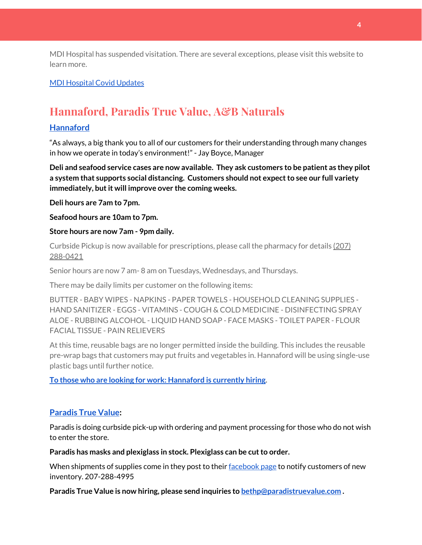MDI Hospital has suspended visitation. There are several exceptions, please visit this website to learn more.

## MDI [Hospital](https://www.mdihospital.org/covid-19/?fbclid=IwAR2Q31t4a6H1pxDfUeqSzFcmp5UbRlSwe93i58zEkHstfexp5EgoHB5cxGU) Covid Updates

# **Hannaford, Paradis True Value, A&B Naturals**

#### **[Hannaford](https://www.hannaford.com/locations/bar-harbor-hannaford-21051)**

"As always, a big thank you to all of our customers for their understanding through many changes in how we operate in today's environment!" - Jay Boyce, Manager

**Deli and seafood service cases are now available. They ask customers to be patient as they pilot a system that supports social distancing. Customers should not expectto see our full variety immediately, butit will improve over the coming weeks.**

**Deli hours are 7am to 7pm.**

**Seafood hours are 10am to 7pm.**

#### **Store hours are now 7am - 9pm daily.**

Curbside Pickup is now available for prescriptions, please call the pharmacy for details [\(207\)](https://www.google.com/search?client=firefox-b-1-d&q=hannaford+pharmacy+bar+harbor#) [288-0421](https://www.google.com/search?client=firefox-b-1-d&q=hannaford+pharmacy+bar+harbor#)

Senior hours are now 7 am- 8 am on Tuesdays, Wednesdays, and Thursdays.

There may be daily limits per customer on the following items:

BUTTER - BABY WIPES - NAPKINS - PAPER TOWELS - HOUSEHOLD CLEANING SUPPLIES - HAND SANITIZER - EGGS - VITAMINS - COUGH & COLD MEDICINE - DISINFECTING SPRAY ALOE - RUBBING ALCOHOL - LIQUID HAND SOAP - FACE MASKS - TOILET PAPER - FLOUR FACIAL TISSUE - PAIN RELIEVERS

At this time, reusable bags are no longer permitted inside the building. This includes the reusable pre-wrap bags that customers may put fruits and vegetables in. Hannaford will be using single-use plastic bags until further notice.

**To those who are looking for work: [Hannaford](https://www.hannaford.com/about-us/careers) is currently hiring.**

## **[Paradis](https://www.facebook.com/ParadisTrueValue/) True Value:**

Paradis is doing curbside pick-up with ordering and payment processing for those who do not wish to enter the store.

**Paradis has masks and plexiglass in stock. Plexiglass can be cutto order.**

When shipments of supplies come in they post to their [facebook](https://www.facebook.com/ParadisTrueValue/) page to notify customers of new inventory. 207-288-4995

**Paradis True Value is now hiring, please send inquiries to [bethp@paradistruevalue.com](mailto:bethp@paradistruevalue.com) .**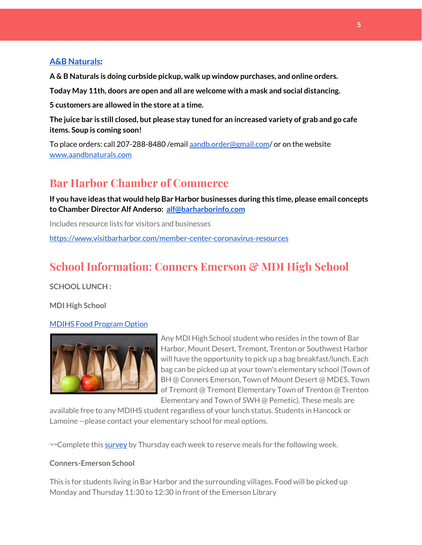## **A&B [Naturals:](http://aandbnaturals.com/)**

**A & B Naturals is doing curbside pickup, walk up window purchases, and online orders.**

**Today May 11th, doors are open and all are welcome with a mask and social distancing.**

**5 customers are allowed in the store at a time.**

The juice bar is still closed, but please stay tuned for an increased variety of grab and go cafe **items. Soup is coming soon!**

To place orders: call 207-288-8480 /email [aandb.order@gmail.com](mailto:aandb.order@gmail.com)/ or on the website [www.aandbnaturals.com](http://www.aandbnaturals.com/)

# **Bar Harbor Chamber of Commerce**

**If you have ideas that would help Bar Harbor businesses during this time, please email concepts to Chamber Director Alf Anderso: [alf@barharborinfo.com](mailto:alf@barharborinfo.com)**

Includes resource lists for visitors and businesses

<https://www.visitbarharbor.com/member-center-coronavirus-resources>

# **School Information: Conners Emerson & MDI High School**

**SCHOOL LUNCH :**

**MDI High School**

## MDIHS Food [Program](http://www.createsurvey.com/c/83380-7yUuuZ/) Option



Any MDI High School student who resides in the town of Bar Harbor, Mount Desert, Tremont, Trenton or Southwest Harbor will have the opportunity to pick up a bag breakfast/lunch. Each bag can be picked up at your town's elementary school (Town of BH @ Conners Emerson, Town of Mount Desert @ MDES, Town of Tremont @ Tremont Elementary Town of Trenton @ Trenton Elementary and Town of SWH @ Pemetic). These meals are

available free to any MDIHS student regardless of your lunch status. Students in Hancock or Lamoine --please contact your elementary school for meal options.

<sup>→→</sup>Complete this [survey](http://www.createsurvey.com/c/83380-7yUuuZ/) by Thursday each week to reserve meals for the following week.

## **Conners-Emerson School**

This is for students living in Bar Harbor and the surrounding villages. Food will be picked up Monday and Thursday 11:30 to 12:30 in front of the Emerson Library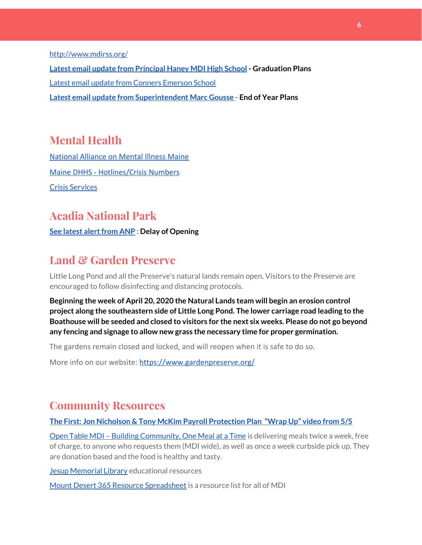<http://www.mdirss.org/>

**Latest email update from [Principal](https://docs.google.com/document/d/1OKDsYNtOgV0FI9xAcXwQvenOKLV0S2vBg1o5jtu5CrE/edit?usp=sharing) Haney MDI High School - Graduation Plans** Latest email update from Conners [Emerson](https://docs.google.com/document/d/1v3pgkG6Q-9S3gisuUIj4etPVDwgBKl4P00JBkvZr-kk/edit?usp=sharing) School **Latest email update from [Superintendent](https://docs.google.com/document/d/1fzeCbc8gpTSKmUaDoQH1Avx5PVl-h0reFphXrT1eUNA/edit?usp=sharing) Marc Gousse - End of Year Plans**

## **Mental Health**

[National Alliance on Mental Illness Maine](https://www.namimaine.org/) [Maine DHHS - Hotlines/Crisis Numbers](https://www.maine.gov/dhhs/hotlines.shtml) Crisis [Services](https://www.sweetser.org/programs-services/services-for-adults/crisis-services/)

## **Acadia National Park**

**See latest alert from ANP** : Delay of Opening

## **Land & Garden Preserve**

Little Long Pond and all the Preserve's natural lands remain open. Visitors to the Preserve are encouraged to follow disinfecting and distancing protocols.

**Beginning the week of April 20, 2020 the Natural Lands team will begin an erosion control project along the southeastern side of Little Long Pond. The lower carriage road leading to the Boathouse will be seeded and closed to visitors for the next six weeks. Please do not go beyond any fencing and signage to allow new grass the necessary time for proper germination.**

The gardens remain closed and locked, and will reopen when it is safe to do so.

More info on our website: <https://www.gardenpreserve.org/>

## **Community Resources**

#### **The First: Jon Nicholson & Tony McKim Payroll [Protection](https://bit.ly/2WjDrd0) Plan "Wrap Up" video from 5/5**

Open Table MDI – Building [Community,](https://www.opentablemdi.org/) One Meal at a Time is delivering meals twice a week, free of charge, to anyone who requests them (MDI wide), as well as once a week curbside pick up. They are donation based and the food is healthy and tasty.

Jesup [Memorial](https://jesuplibrary.org/) Library educational resources

Mount Desert 365 Resource [Spreadsheet](https://docs.google.com/spreadsheets/d/1okAx6HSsgXZY9CGH07Dzi6rqe7a6m4dLCPKot2Li7Ek/edit?usp=sharing) is a resource list for all of MDI